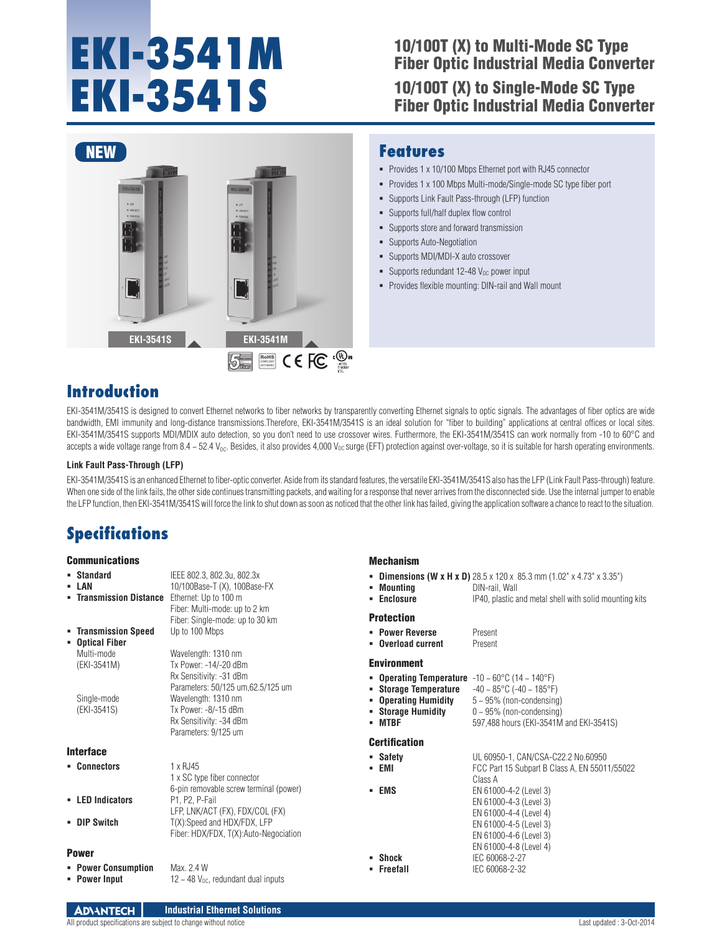# **EKI-3541M EKI-3541S**

## 10/100T (X) to Multi-Mode SC Type Fiber Optic Industrial Media Converter 10/100T (X) to Single-Mode SC Type

Fiber Optic Industrial Media Converter



 Supports store and forward transmission **Supports Auto-Negotiation** 

**Features**

Supports MDI/MDI-X auto crossover

Supports full/half duplex flow control

- Supports redundant 12-48  $V_{DC}$  power input
- **Provides flexible mounting: DIN-rail and Wall mount**

Supports Link Fault Pass-through (LFP) function

 Provides 1 x 10/100 Mbps Ethernet port with RJ45 connector Provides 1 x 100 Mbps Multi-mode/Single-mode SC type fiber port

## **Introduction**

EKI-3541M/3541S is designed to convert Ethernet networks to fiber networks by transparently converting Ethernet signals to optic signals. The advantages of fiber optics are wide bandwidth, EMI immunity and long-distance transmissions.Therefore, EKI-3541M/3541S is an ideal solution for "fiber to building" applications at central offices or local sites. EKI-3541M/3541S supports MDI/MDIX auto detection, so you don't need to use crossover wires. Furthermore, the EKI-3541M/3541S can work normally from -10 to 60°C and accepts a wide voltage range from 8.4 ~ 52.4  $V_{DC}$ . Besides, it also provides 4,000  $V_{DC}$  surge (EFT) protection against over-voltage, so it is suitable for harsh operating environments.

#### **Link Fault Pass-Through (LFP)**

EKI-3541M/3541S is an enhanced Ethernet to fiber-optic converter. Aside from its standard features, the versatile EKI-3541M/3541S also has the LFP (Link Fault Pass-through) feature. When one side of the link fails, the other side continues transmitting packets, and waiting for a response that never arrives from the disconnected side. Use the internal jumper to enable the LFP function, then EKI-3541M/3541S will force the link to shut down as soon as noticed that the other link has failed, giving the application software a chance to react to the situation.

Mechanism

## **Specifications**

### Communications

| UUIIIIIUIIIUULIUIIJ        |                                                                  | мсыашын                                                                                                   |                                                                                                |
|----------------------------|------------------------------------------------------------------|-----------------------------------------------------------------------------------------------------------|------------------------------------------------------------------------------------------------|
| • Standard<br>- LAN        | IEEE 802.3, 802.3u, 802.3x<br>10/100Base-T (X), 100Base-FX       | • Mounting                                                                                                | <b>• Dimensions (W x H x D)</b> 28.5 x 120 x 85.3 mm (1.02" x 4.73" x 3.35")<br>DIN-rail. Wall |
| • Transmission Distance    | Ethernet: Up to 100 m                                            | • Enclosure                                                                                               | IP40, plastic and metal shell with solid mounting kits                                         |
|                            | Fiber: Multi-mode: up to 2 km<br>Fiber: Single-mode: up to 30 km | <b>Protection</b>                                                                                         |                                                                                                |
| • Transmission Speed       | Up to 100 Mbps                                                   | • Power Reverse                                                                                           | Present                                                                                        |
| • Optical Fiber            |                                                                  | • Overload current                                                                                        | Present                                                                                        |
| Multi-mode                 | Wavelength: 1310 nm                                              |                                                                                                           |                                                                                                |
| (EKI-3541M)                | Tx Power: -14/-20 dBm                                            | <b>Environment</b>                                                                                        |                                                                                                |
|                            | Rx Sensitivity: -31 dBm<br>Parameters: 50/125 um, 62.5/125 um    | <b>• Operating Temperature</b> $-10 \sim 60^{\circ}$ C (14 $\sim 140^{\circ}$ F)<br>• Storage Temperature | $-40 \sim 85^{\circ}$ C ( $-40 \sim 185^{\circ}$ F)                                            |
| Single-mode                | Wavelength: 1310 nm                                              | • Operating Humidity                                                                                      | $5 \sim 95\%$ (non-condensing)                                                                 |
| (EKI-3541S)                | Tx Power: $-8/-15$ dBm                                           | • Storage Humidity                                                                                        | $0 \sim 95\%$ (non-condensing)                                                                 |
|                            | Rx Sensitivity: -34 dBm                                          | - MTBF                                                                                                    | 597,488 hours (EKI-3541M and EKI-3541S)                                                        |
|                            | Parameters: 9/125 um                                             |                                                                                                           |                                                                                                |
| Interface                  |                                                                  | <b>Certification</b>                                                                                      |                                                                                                |
|                            |                                                                  | • Safety                                                                                                  | UL 60950-1, CAN/CSA-C22.2 No.60950                                                             |
| • Connectors               | $1 \times R$ , 145                                               | • EMI                                                                                                     | FCC Part 15 Subpart B Class A, EN 55011/55022                                                  |
|                            | 1 x SC type fiber connector                                      |                                                                                                           | Class A                                                                                        |
|                            | 6-pin removable screw terminal (power)                           | - EMS                                                                                                     | EN 61000-4-2 (Level 3)                                                                         |
| - LED Indicators           | P1, P2, P-Fail                                                   |                                                                                                           | EN 61000-4-3 (Level 3)                                                                         |
|                            | LFP, LNK/ACT (FX), FDX/COL (FX)                                  |                                                                                                           | EN 61000-4-4 (Level 4)                                                                         |
| <b>- DIP Switch</b>        | T(X):Speed and HDX/FDX, LFP                                      |                                                                                                           | EN 61000-4-5 (Level 3)                                                                         |
|                            | Fiber: HDX/FDX, T(X):Auto-Negociation                            |                                                                                                           | EN 61000-4-6 (Level 3)                                                                         |
| <b>Power</b>               |                                                                  |                                                                                                           | EN 61000-4-8 (Level 4)                                                                         |
|                            |                                                                  | • Shock                                                                                                   | IEC 60068-2-27                                                                                 |
| <b>• Power Consumption</b> | Max. 2.4 W                                                       | • Freefall                                                                                                | IEC 60068-2-32                                                                                 |
| • Power Input              | $12 \sim 48$ V <sub>pc</sub> , redundant dual inputs             |                                                                                                           |                                                                                                |